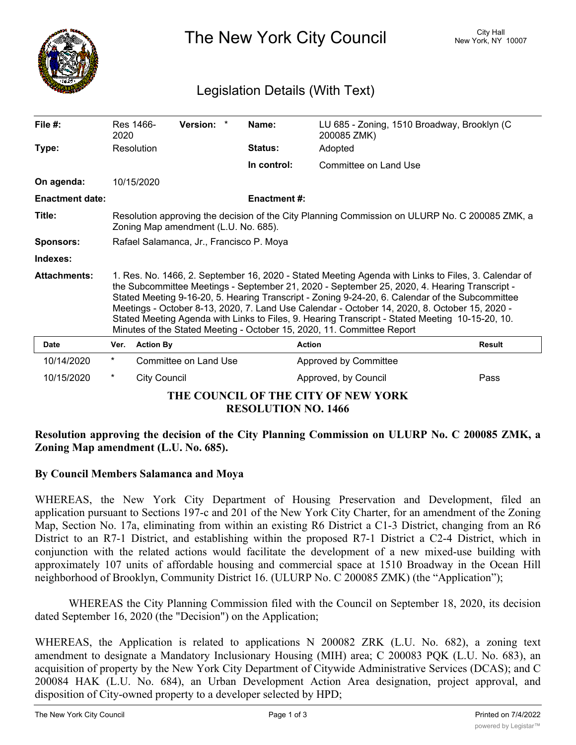

The New York City Council New York, NY 10007

## Legislation Details (With Text)

| File $#$ :                                                        | 2020                                                                                                                                                                                                                                                                                                                                                                                                                                                                                                                                                                                 | Res 1466-           | Version: *            |  | Name:               | LU 685 - Zoning, 1510 Broadway, Brooklyn (C<br>200085 ZMK) |        |
|-------------------------------------------------------------------|--------------------------------------------------------------------------------------------------------------------------------------------------------------------------------------------------------------------------------------------------------------------------------------------------------------------------------------------------------------------------------------------------------------------------------------------------------------------------------------------------------------------------------------------------------------------------------------|---------------------|-----------------------|--|---------------------|------------------------------------------------------------|--------|
| Type:                                                             |                                                                                                                                                                                                                                                                                                                                                                                                                                                                                                                                                                                      | Resolution          |                       |  | <b>Status:</b>      | Adopted                                                    |        |
|                                                                   |                                                                                                                                                                                                                                                                                                                                                                                                                                                                                                                                                                                      |                     |                       |  | In control:         | Committee on Land Use                                      |        |
| On agenda:                                                        |                                                                                                                                                                                                                                                                                                                                                                                                                                                                                                                                                                                      | 10/15/2020          |                       |  |                     |                                                            |        |
| <b>Enactment date:</b>                                            |                                                                                                                                                                                                                                                                                                                                                                                                                                                                                                                                                                                      |                     |                       |  | <b>Enactment #:</b> |                                                            |        |
| Title:                                                            | Resolution approving the decision of the City Planning Commission on ULURP No. C 200085 ZMK, a<br>Zoning Map amendment (L.U. No. 685).                                                                                                                                                                                                                                                                                                                                                                                                                                               |                     |                       |  |                     |                                                            |        |
| <b>Sponsors:</b>                                                  | Rafael Salamanca, Jr., Francisco P. Moya                                                                                                                                                                                                                                                                                                                                                                                                                                                                                                                                             |                     |                       |  |                     |                                                            |        |
| Indexes:                                                          |                                                                                                                                                                                                                                                                                                                                                                                                                                                                                                                                                                                      |                     |                       |  |                     |                                                            |        |
| <b>Attachments:</b>                                               | 1. Res. No. 1466, 2. September 16, 2020 - Stated Meeting Agenda with Links to Files, 3. Calendar of<br>the Subcommittee Meetings - September 21, 2020 - September 25, 2020, 4. Hearing Transcript -<br>Stated Meeting 9-16-20, 5. Hearing Transcript - Zoning 9-24-20, 6. Calendar of the Subcommittee<br>Meetings - October 8-13, 2020, 7. Land Use Calendar - October 14, 2020, 8. October 15, 2020 -<br>Stated Meeting Agenda with Links to Files, 9. Hearing Transcript - Stated Meeting 10-15-20, 10.<br>Minutes of the Stated Meeting - October 15, 2020, 11. Committee Report |                     |                       |  |                     |                                                            |        |
| <b>Date</b>                                                       | Ver.                                                                                                                                                                                                                                                                                                                                                                                                                                                                                                                                                                                 | <b>Action By</b>    |                       |  | <b>Action</b>       |                                                            | Result |
| 10/14/2020                                                        | $^\star$                                                                                                                                                                                                                                                                                                                                                                                                                                                                                                                                                                             |                     | Committee on Land Use |  |                     | Approved by Committee                                      |        |
| 10/15/2020                                                        | $^\ast$                                                                                                                                                                                                                                                                                                                                                                                                                                                                                                                                                                              | <b>City Council</b> |                       |  |                     | Approved, by Council                                       | Pass   |
| THE COUNCIL OF THE CITY OF NEW YORK<br><b>RESOLUTION NO. 1466</b> |                                                                                                                                                                                                                                                                                                                                                                                                                                                                                                                                                                                      |                     |                       |  |                     |                                                            |        |

## **Resolution approving the decision of the City Planning Commission on ULURP No. C 200085 ZMK, a Zoning Map amendment (L.U. No. 685).**

## **By Council Members Salamanca and Moya**

WHEREAS, the New York City Department of Housing Preservation and Development, filed an application pursuant to Sections 197-c and 201 of the New York City Charter, for an amendment of the Zoning Map, Section No. 17a, eliminating from within an existing R6 District a C1-3 District, changing from an R6 District to an R7-1 District, and establishing within the proposed R7-1 District a C2-4 District, which in conjunction with the related actions would facilitate the development of a new mixed-use building with approximately 107 units of affordable housing and commercial space at 1510 Broadway in the Ocean Hill neighborhood of Brooklyn, Community District 16. (ULURP No. C 200085 ZMK) (the "Application");

WHEREAS the City Planning Commission filed with the Council on September 18, 2020, its decision dated September 16, 2020 (the "Decision") on the Application;

WHEREAS, the Application is related to applications N 200082 ZRK (L.U. No. 682), a zoning text amendment to designate a Mandatory Inclusionary Housing (MIH) area; C 200083 PQK (L.U. No. 683), an acquisition of property by the New York City Department of Citywide Administrative Services (DCAS); and C 200084 HAK (L.U. No. 684), an Urban Development Action Area designation, project approval, and disposition of City-owned property to a developer selected by HPD;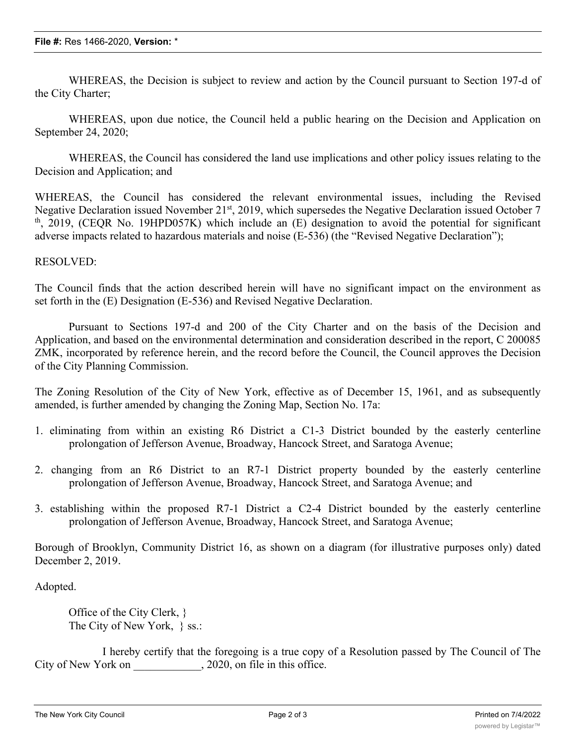WHEREAS, the Decision is subject to review and action by the Council pursuant to Section 197-d of the City Charter;

WHEREAS, upon due notice, the Council held a public hearing on the Decision and Application on September 24, 2020;

WHEREAS, the Council has considered the land use implications and other policy issues relating to the Decision and Application; and

WHEREAS, the Council has considered the relevant environmental issues, including the Revised Negative Declaration issued November 21<sup>st</sup>, 2019, which supersedes the Negative Declaration issued October 7  $t<sup>th</sup>$ , 2019, (CEQR No. 19HPD057K) which include an (E) designation to avoid the potential for significant adverse impacts related to hazardous materials and noise (E-536) (the "Revised Negative Declaration");

## RESOLVED:

The Council finds that the action described herein will have no significant impact on the environment as set forth in the (E) Designation (E-536) and Revised Negative Declaration.

Pursuant to Sections 197-d and 200 of the City Charter and on the basis of the Decision and Application, and based on the environmental determination and consideration described in the report, C 200085 ZMK, incorporated by reference herein, and the record before the Council, the Council approves the Decision of the City Planning Commission.

The Zoning Resolution of the City of New York, effective as of December 15, 1961, and as subsequently amended, is further amended by changing the Zoning Map, Section No. 17a:

- 1. eliminating from within an existing R6 District a C1-3 District bounded by the easterly centerline prolongation of Jefferson Avenue, Broadway, Hancock Street, and Saratoga Avenue;
- 2. changing from an R6 District to an R7-1 District property bounded by the easterly centerline prolongation of Jefferson Avenue, Broadway, Hancock Street, and Saratoga Avenue; and
- 3. establishing within the proposed R7-1 District a C2-4 District bounded by the easterly centerline prolongation of Jefferson Avenue, Broadway, Hancock Street, and Saratoga Avenue;

Borough of Brooklyn, Community District 16, as shown on a diagram (for illustrative purposes only) dated December 2, 2019.

Adopted.

Office of the City Clerk, } The City of New York, } ss.:

I hereby certify that the foregoing is a true copy of a Resolution passed by The Council of The City of New York on  $2020$ , on file in this office.